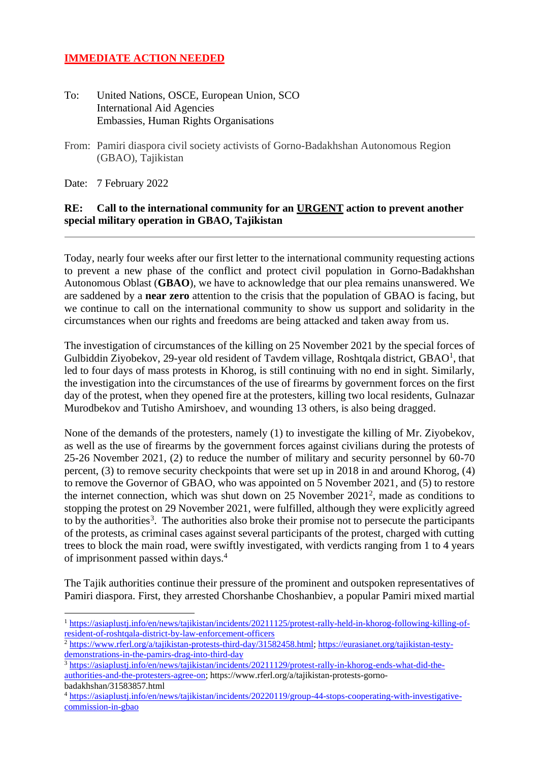## **IMMEDIATE ACTION NEEDED**

- To: United Nations, OSCE, European Union, SCO International Aid Agencies Embassies, Human Rights Organisations
- From: Pamiri diaspora civil society activists of Gorno-Badakhshan Autonomous Region (GBAO), Tajikistan
- Date: 7 February 2022

## **RE: Call to the international community for an URGENT action to prevent another special military operation in GBAO, Tajikistan**

Today, nearly four weeks after our first letter to the international community requesting actions to prevent a new phase of the conflict and protect civil population in Gorno-Badakhshan Autonomous Oblast (**GBAO**), we have to acknowledge that our plea remains unanswered. We are saddened by a **near zero** attention to the crisis that the population of GBAO is facing, but we continue to call on the international community to show us support and solidarity in the circumstances when our rights and freedoms are being attacked and taken away from us.

The investigation of circumstances of the killing on 25 November 2021 by the special forces of Gulbiddin Ziyobekov, 29-year old resident of Tavdem village, Roshtqala district, GBAO<sup>1</sup>, that led to four days of mass protests in Khorog, is still continuing with no end in sight. Similarly, the investigation into the circumstances of the use of firearms by government forces on the first day of the protest, when they opened fire at the protesters, killing two local residents, Gulnazar Murodbekov and Tutisho Amirshoev, and wounding 13 others, is also being dragged.

None of the demands of the protesters, namely (1) to investigate the killing of Mr. Ziyobekov, as well as the use of firearms by the government forces against civilians during the protests of 25-26 November 2021, (2) to reduce the number of military and security personnel by 60-70 percent, (3) to remove security checkpoints that were set up in 2018 in and around Khorog, (4) to remove the Governor of GBAO, who was appointed on 5 November 2021, and (5) to restore the internet connection, which was shut down on 25 November 2021<sup>2</sup> , made as conditions to stopping the protest on 29 November 2021, were fulfilled, although they were explicitly agreed to by the authorities<sup>3</sup>. The authorities also broke their promise not to persecute the participants of the protests, as criminal cases against several participants of the protest, charged with cutting trees to block the main road, were swiftly investigated, with verdicts ranging from 1 to 4 years of imprisonment passed within days.<sup>4</sup>

The Tajik authorities continue their pressure of the prominent and outspoken representatives of Pamiri diaspora. First, they arrested Chorshanbe Choshanbiev, a popular Pamiri mixed martial

<sup>1</sup> [https://asiaplustj.info/en/news/tajikistan/incidents/20211125/protest-rally-held-in-khorog-following-killing-of](https://asiaplustj.info/en/news/tajikistan/incidents/20211125/protest-rally-held-in-khorog-following-killing-of-resident-of-roshtqala-district-by-law-enforcement-officers)[resident-of-roshtqala-district-by-law-enforcement-officers](https://asiaplustj.info/en/news/tajikistan/incidents/20211125/protest-rally-held-in-khorog-following-killing-of-resident-of-roshtqala-district-by-law-enforcement-officers)

<sup>2</sup> [https://www.rferl.org/a/tajikistan-protests-third-day/31582458.html;](https://www.rferl.org/a/tajikistan-protests-third-day/31582458.html) [https://eurasianet.org/tajikistan-testy](https://eurasianet.org/tajikistan-testy-demonstrations-in-the-pamirs-drag-into-third-day)[demonstrations-in-the-pamirs-drag-into-third-day](https://eurasianet.org/tajikistan-testy-demonstrations-in-the-pamirs-drag-into-third-day) 

<sup>&</sup>lt;sup>3</sup> [https://asiaplustj.info/en/news/tajikistan/incidents/20211129/protest-rally-in-khorog-ends-what-did-the](https://asiaplustj.info/en/news/tajikistan/incidents/20211129/protest-rally-in-khorog-ends-what-did-the-authorities-and-the-protesters-agree-on)[authorities-and-the-protesters-agree-on;](https://asiaplustj.info/en/news/tajikistan/incidents/20211129/protest-rally-in-khorog-ends-what-did-the-authorities-and-the-protesters-agree-on) https://www.rferl.org/a/tajikistan-protests-gornobadakhshan/31583857.html

<sup>4</sup> [https://asiaplustj.info/en/news/tajikistan/incidents/20220119/group-44-stops-cooperating-with-investigative](https://asiaplustj.info/en/news/tajikistan/incidents/20220119/group-44-stops-cooperating-with-investigative-commission-in-gbao)[commission-in-gbao](https://asiaplustj.info/en/news/tajikistan/incidents/20220119/group-44-stops-cooperating-with-investigative-commission-in-gbao)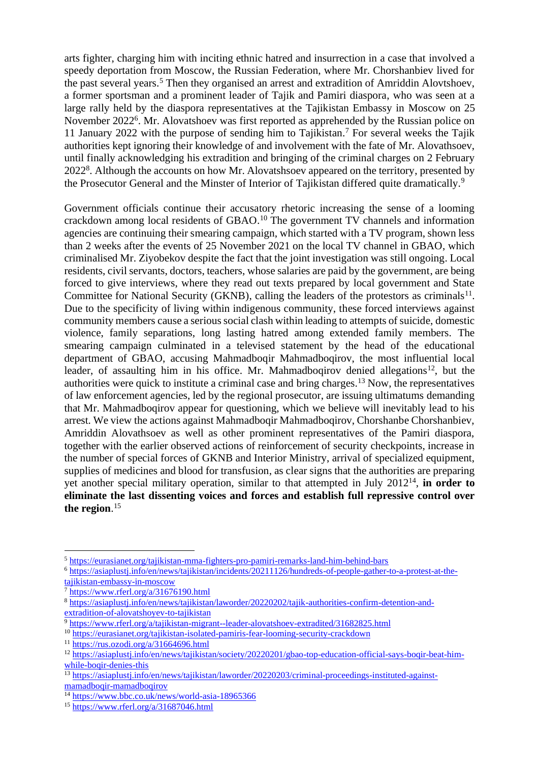arts fighter, charging him with inciting ethnic hatred and insurrection in a case that involved a speedy deportation from Moscow, the Russian Federation, where Mr. Chorshanbiev lived for the past several years.<sup>5</sup> Then they organised an arrest and extradition of Amriddin Alovtshoev, a former sportsman and a prominent leader of Tajik and Pamiri diaspora, who was seen at a large rally held by the diaspora representatives at the Tajikistan Embassy in Moscow on 25 November 2022<sup>6</sup>. Mr. Alovatshoev was first reported as apprehended by the Russian police on 11 January 2022 with the purpose of sending him to Tajikistan. <sup>7</sup> For several weeks the Tajik authorities kept ignoring their knowledge of and involvement with the fate of Mr. Alovathsoev, until finally acknowledging his extradition and bringing of the criminal charges on 2 February 2022<sup>8</sup>. Although the accounts on how Mr. Alovatshsoev appeared on the territory, presented by the Prosecutor General and the Minster of Interior of Tajikistan differed quite dramatically.<sup>9</sup>

Government officials continue their accusatory rhetoric increasing the sense of a looming crackdown among local residents of GBAO. <sup>10</sup> The government TV channels and information agencies are continuing their smearing campaign, which started with a TV program, shown less than 2 weeks after the events of 25 November 2021 on the local TV channel in GBAO, which criminalised Mr. Ziyobekov despite the fact that the joint investigation was still ongoing. Local residents, civil servants, doctors, teachers, whose salaries are paid by the government, are being forced to give interviews, where they read out texts prepared by local government and State Committee for National Security (GKNB), calling the leaders of the protestors as criminals<sup>11</sup>. Due to the specificity of living within indigenous community, these forced interviews against community members cause a serious social clash within leading to attempts of suicide, domestic violence, family separations, long lasting hatred among extended family members. The smearing campaign culminated in a televised statement by the head of the educational department of GBAO, accusing Mahmadboqir Mahmadboqirov, the most influential local leader, of assaulting him in his office. Mr. Mahmadboqirov denied allegations<sup>12</sup>, but the authorities were quick to institute a criminal case and bring charges. <sup>13</sup> Now, the representatives of law enforcement agencies, led by the regional prosecutor, are issuing ultimatums demanding that Mr. Mahmadboqirov appear for questioning, which we believe will inevitably lead to his arrest. We view the actions against Mahmadboqir Mahmadboqirov, Chorshanbe Chorshanbiev, Amriddin Alovathsoev as well as other prominent representatives of the Pamiri diaspora, together with the earlier observed actions of reinforcement of security checkpoints, increase in the number of special forces of GKNB and Interior Ministry, arrival of specialized equipment, supplies of medicines and blood for transfusion, as clear signs that the authorities are preparing yet another special military operation, similar to that attempted in July 2012<sup>14</sup> , **in order to eliminate the last dissenting voices and forces and establish full repressive control over the region**. 15

<sup>11</sup> <https://rus.ozodi.org/a/31664696.html>

<sup>5</sup> <https://eurasianet.org/tajikistan-mma-fighters-pro-pamiri-remarks-land-him-behind-bars>

<sup>6</sup> [https://asiaplustj.info/en/news/tajikistan/incidents/20211126/hundreds-of-people-gather-to-a-protest-at-the](https://asiaplustj.info/en/news/tajikistan/incidents/20211126/hundreds-of-people-gather-to-a-protest-at-the-tajikistan-embassy-in-moscow)[tajikistan-embassy-in-moscow](https://asiaplustj.info/en/news/tajikistan/incidents/20211126/hundreds-of-people-gather-to-a-protest-at-the-tajikistan-embassy-in-moscow)

<sup>7</sup> <https://www.rferl.org/a/31676190.html>

<sup>8</sup> [https://asiaplustj.info/en/news/tajikistan/laworder/20220202/tajik-authorities-confirm-detention-and](https://asiaplustj.info/en/news/tajikistan/laworder/20220202/tajik-authorities-confirm-detention-and-extradition-of-alovatshoyev-to-tajikistan)[extradition-of-alovatshoyev-to-tajikistan](https://asiaplustj.info/en/news/tajikistan/laworder/20220202/tajik-authorities-confirm-detention-and-extradition-of-alovatshoyev-to-tajikistan)

<sup>9</sup> <https://www.rferl.org/a/tajikistan-migrant--leader-alovatshoev-extradited/31682825.html>

<sup>10</sup> <https://eurasianet.org/tajikistan-isolated-pamiris-fear-looming-security-crackdown>

<sup>&</sup>lt;sup>12</sup> [https://asiaplustj.info/en/news/tajikistan/society/20220201/gbao-top-education-official-says-boqir-beat-him](https://asiaplustj.info/en/news/tajikistan/society/20220201/gbao-top-education-official-says-boqir-beat-him-while-boqir-denies-this)[while-boqir-denies-this](https://asiaplustj.info/en/news/tajikistan/society/20220201/gbao-top-education-official-says-boqir-beat-him-while-boqir-denies-this)

<sup>13</sup> [https://asiaplustj.info/en/news/tajikistan/laworder/20220203/criminal-proceedings-instituted-against](https://asiaplustj.info/en/news/tajikistan/laworder/20220203/criminal-proceedings-instituted-against-mamadboqir-mamadboqirov)[mamadboqir-mamadboqirov](https://asiaplustj.info/en/news/tajikistan/laworder/20220203/criminal-proceedings-instituted-against-mamadboqir-mamadboqirov)

<sup>&</sup>lt;sup>14</sup> <https://www.bbc.co.uk/news/world-asia-18965366>

<sup>15</sup> <https://www.rferl.org/a/31687046.html>